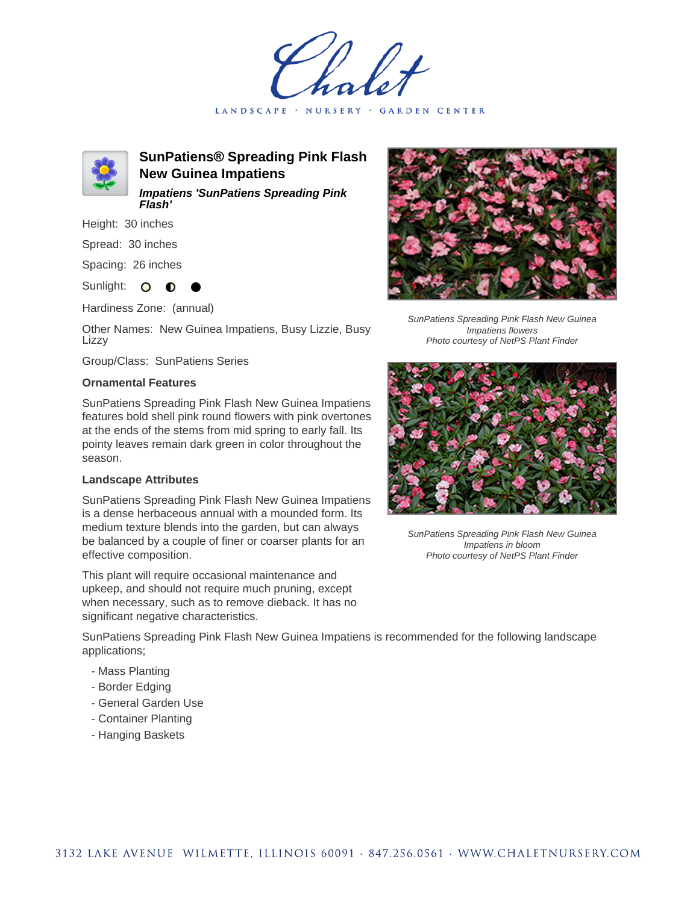LANDSCAPE · NURSERY · GARDEN CENTER



**SunPatiens® Spreading Pink Flash New Guinea Impatiens Impatiens 'SunPatiens Spreading Pink Flash'**

Height: 30 inches

Spread: 30 inches

Spacing: 26 inches

Sunlight: O **O** 

Hardiness Zone: (annual)

Other Names: New Guinea Impatiens, Busy Lizzie, Busy Lizzy

Group/Class: SunPatiens Series

## **Ornamental Features**

SunPatiens Spreading Pink Flash New Guinea Impatiens features bold shell pink round flowers with pink overtones at the ends of the stems from mid spring to early fall. Its pointy leaves remain dark green in color throughout the season.

## **Landscape Attributes**

SunPatiens Spreading Pink Flash New Guinea Impatiens is a dense herbaceous annual with a mounded form. Its medium texture blends into the garden, but can always be balanced by a couple of finer or coarser plants for an effective composition.

This plant will require occasional maintenance and upkeep, and should not require much pruning, except when necessary, such as to remove dieback. It has no significant negative characteristics.



SunPatiens Spreading Pink Flash New Guinea Impatiens flowers Photo courtesy of NetPS Plant Finder



SunPatiens Spreading Pink Flash New Guinea Impatiens in bloom Photo courtesy of NetPS Plant Finder

SunPatiens Spreading Pink Flash New Guinea Impatiens is recommended for the following landscape applications;

- Mass Planting
- Border Edging
- General Garden Use
- Container Planting
- Hanging Baskets